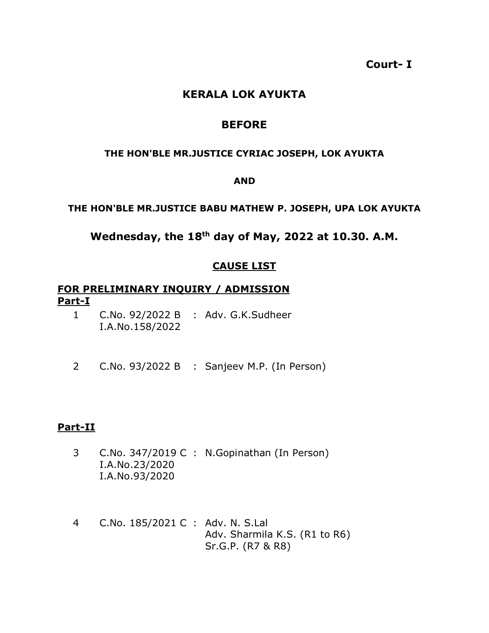**Court- I**

# **KERALA LOK AYUKTA**

# **BEFORE**

### **THE HON'BLE MR.JUSTICE CYRIAC JOSEPH, LOK AYUKTA**

#### **AND**

### **THE HON'BLE MR.JUSTICE BABU MATHEW P. JOSEPH, UPA LOK AYUKTA**

# **Wednesday, the 18th day of May, 2022 at 10.30. A.M.**

# **CAUSE LIST**

## **FOR PRELIMINARY INQUIRY / ADMISSION Part-I**

- 1 C.No. 92/2022 B : Adv. G.K.Sudheer I.A.No.158/2022
- 2 C.No. 93/2022 B : Sanjeev M.P. (In Person)

## **Part-II**

- 3 C.No. 347/2019 C : N.Gopinathan (In Person) I.A.No.23/2020 I.A.No.93/2020
- 4 C.No. 185/2021 C : Adv. N. S.Lal Adv. Sharmila K.S. (R1 to R6) Sr.G.P. (R7 & R8)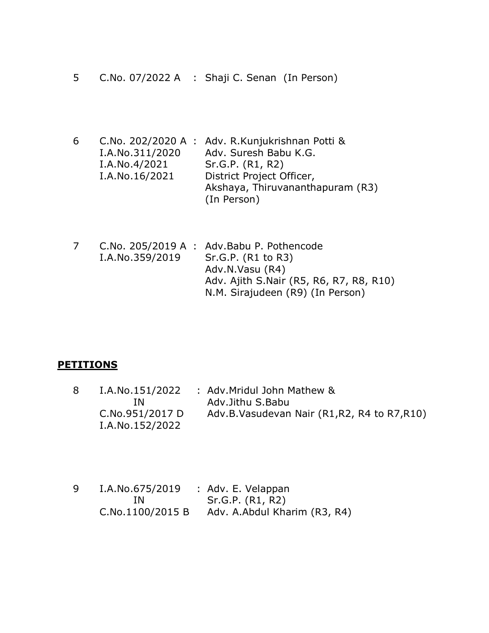- 5 C.No. 07/2022 A : Shaji C. Senan (In Person)
- 6 C.No. 202/2020 A : Adv. R.Kunjukrishnan Potti & I.A.No.311/2020 I.A.No.4/2021 I.A.No.16/2021 Adv. Suresh Babu K.G. Sr.G.P. (R1, R2) District Project Officer, Akshaya, Thiruvananthapuram (R3) (In Person)
- 7 C.No. 205/2019 A : Adv.Babu P. Pothencode I.A.No.359/2019 Sr.G.P. (R1 to R3) Adv.N.Vasu (R4) Adv. Ajith S.Nair (R5, R6, R7, R8, R10) N.M. Sirajudeen (R9) (In Person)

#### **PETITIONS**

- 8 I.A.No.151/2022 IN C.No.951/2017 D I.A.No.152/2022 : Adv.Mridul John Mathew & Adv.Jithu S.Babu Adv.B.Vasudevan Nair (R1,R2, R4 to R7,R10)
- 9 I.A.No.675/2019 IN C.No.1100/2015 B : Adv. E. Velappan Sr.G.P. (R1, R2) Adv. A.Abdul Kharim (R3, R4)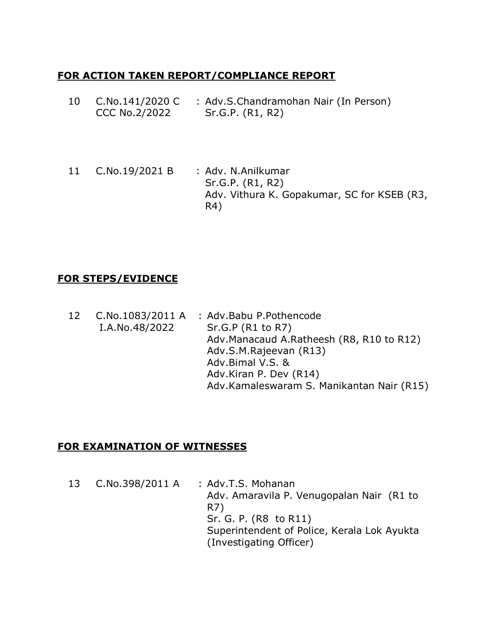# **FOR ACTION TAKEN REPORT/COMPLIANCE REPORT**

- 10 C.No.141/2020 C CCC No.2/2022 : Adv.S.Chandramohan Nair (In Person) Sr.G.P. (R1, R2)
- 11 C.No.19/2021 B : Adv. N.Anilkumar Sr.G.P. (R1, R2) Adv. Vithura K. Gopakumar, SC for KSEB (R3, R4)

# **FOR STEPS/EVIDENCE**

12 C.No.1083/2011 A I.A.No.48/2022 : Adv.Babu P.Pothencode Sr.G.P (R1 to R7) Adv.Manacaud A.Ratheesh (R8, R10 to R12) Adv.S.M.Rajeevan (R13) Adv.Bimal V.S. & Adv.Kiran P. Dev (R14) Adv.Kamaleswaram S. Manikantan Nair (R15)

# **FOR EXAMINATION OF WITNESSES**

13 C.No.398/2011 A : Adv.T.S. Mohanan Adv. Amaravila P. Venugopalan Nair (R1 to R7) Sr. G. P. (R8 to R11) Superintendent of Police, Kerala Lok Ayukta (Investigating Officer)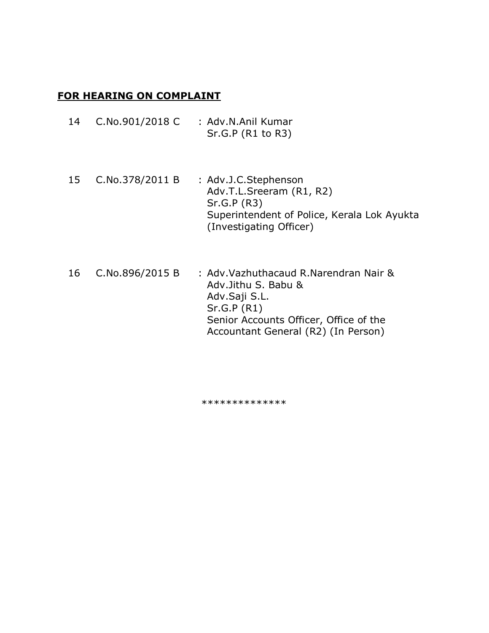## **FOR HEARING ON COMPLAINT**

| 14 | C.No.901/2018 C | : Adv.N.Anil Kumar<br>Sr.G.P (R1 to R3)                                                                                                   |
|----|-----------------|-------------------------------------------------------------------------------------------------------------------------------------------|
| 15 | C.No.378/2011 B | : Adv.J.C.Stephenson<br>Adv.T.L.Sreeram (R1, R2)<br>Sr.G.P (R3)<br>Superintendent of Police, Kerala Lok Ayukta<br>(Investigating Officer) |

16 C.No.896/2015 B : Adv.Vazhuthacaud R.Narendran Nair & Adv.Jithu S. Babu & Adv.Saji S.L. Sr.G.P (R1) Senior Accounts Officer, Office of the Accountant General (R2) (In Person)

\*\*\*\*\*\*\*\*\*\*\*\*\*\*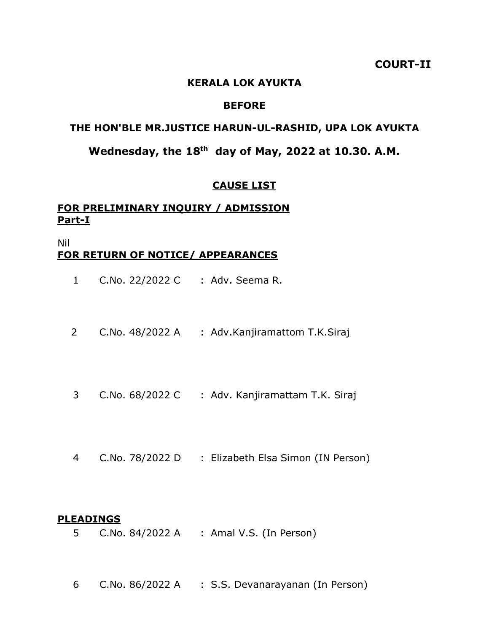### **COURT-II**

#### **KERALA LOK AYUKTA**

### **BEFORE**

## **THE HON'BLE MR.JUSTICE HARUN-UL-RASHID, UPA LOK AYUKTA**

# **Wednesday, the 18th day of May, 2022 at 10.30. A.M.**

#### **CAUSE LIST**

## **FOR PRELIMINARY INQUIRY / ADMISSION Part-I**

### Nil **FOR RETURN OF NOTICE/ APPEARANCES**

- 1 C.No. 22/2022 C : Adv. Seema R.
- 2 C.No. 48/2022 A : Adv.Kanjiramattom T.K.Siraj
- 3 C.No. 68/2022 C : Adv. Kanjiramattam T.K. Siraj
- 4 C.No. 78/2022 D : Elizabeth Elsa Simon (IN Person)

#### **PLEADINGS**

- 5 C.No. 84/2022 A : Amal V.S. (In Person)
- 6 C.No. 86/2022 A : S.S. Devanarayanan (In Person)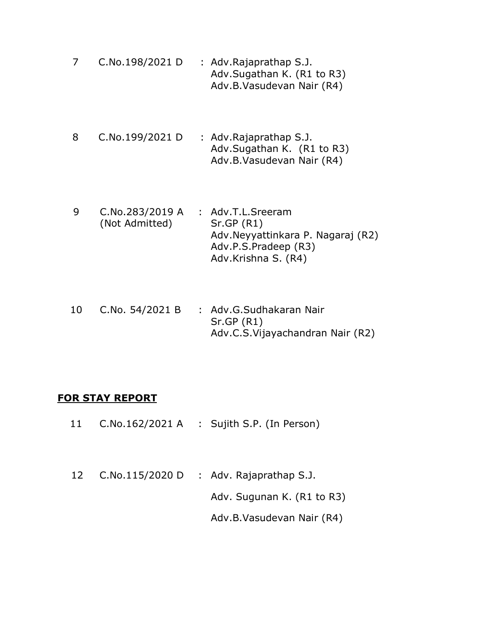- 7 C.No.198/2021 D : Adv.Rajaprathap S.J. Adv.Sugathan K. (R1 to R3) Adv.B.Vasudevan Nair (R4)
- 8 C.No.199/2021 D : Adv.Rajaprathap S.J. Adv.Sugathan K. (R1 to R3) Adv.B.Vasudevan Nair (R4)
- 9 C.No.283/2019 A (Not Admitted) : Adv.T.L.Sreeram Sr.GP (R1) Adv.Neyyattinkara P. Nagaraj (R2) Adv.P.S.Pradeep (R3) Adv.Krishna S. (R4)
- 10 C.No. 54/2021 B : Adv.G.Sudhakaran Nair Sr.GP (R1) Adv.C.S.Vijayachandran Nair (R2)

## **FOR STAY REPORT**

- 11 C.No.162/2021 A : Sujith S.P. (In Person)
- 12 C.No.115/2020 D : Adv. Rajaprathap S.J. Adv. Sugunan K. (R1 to R3) Adv.B.Vasudevan Nair (R4)